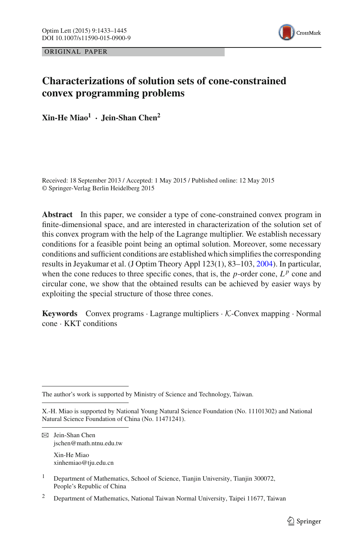ORIGINAL PAPER



# **Characterizations of solution sets of cone-constrained convex programming problems**

**Xin-He Miao1 · Jein-Shan Chen<sup>2</sup>**

Received: 18 September 2013 / Accepted: 1 May 2015 / Published online: 12 May 2015 © Springer-Verlag Berlin Heidelberg 2015

**Abstract** In this paper, we consider a type of cone-constrained convex program in finite-dimensional space, and are interested in characterization of the solution set of this convex program with the help of the Lagrange multiplier. We establish necessary conditions for a feasible point being an optimal solution. Moreover, some necessary conditions and sufficient conditions are established which simplifies the corresponding results in Jeyakumar et al. (J Optim Theory Appl 123(1), 83–103, [2004\)](#page-12-0). In particular, when the cone reduces to three specific cones, that is, the  $p$ -order cone,  $L^p$  cone and circular cone, we show that the obtained results can be achieved by easier ways by exploiting the special structure of those three cones.

**Keywords** Convex programs · Lagrange multipliers · *K*-Convex mapping · Normal cone · KKT conditions

The author's work is supported by Ministry of Science and Technology, Taiwan.

B Jein-Shan Chen jschen@math.ntnu.edu.tw

Xin-He Miao xinhemiao@tju.edu.cn

X.-H. Miao is supported by National Young Natural Science Foundation (No. 11101302) and National Natural Science Foundation of China (No. 11471241).

<sup>1</sup> Department of Mathematics, School of Science, Tianjin University, Tianjin 300072, People's Republic of China

<sup>2</sup> Department of Mathematics, National Taiwan Normal University, Taipei 11677, Taiwan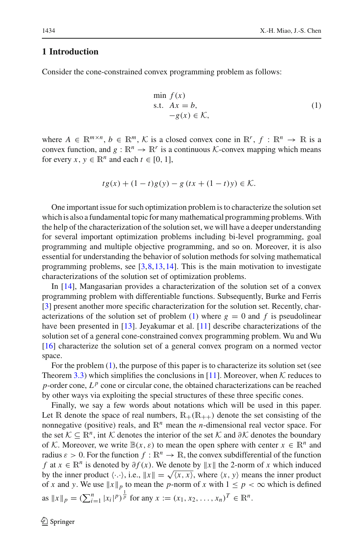## **1 Introduction**

<span id="page-1-0"></span>Consider the cone-constrained convex programming problem as follows:

$$
\min_{\mathbf{S} \in \mathcal{X}} f(\mathbf{x})
$$
\n
$$
\text{s.t.} \quad A\mathbf{x} = b, \\
-g(\mathbf{x}) \in \mathcal{K},
$$
\n
$$
(1)
$$

where  $A \in \mathbb{R}^{m \times n}$ ,  $b \in \mathbb{R}^m$ , K is a closed convex cone in  $\mathbb{R}^r$ ,  $f : \mathbb{R}^n \to \mathbb{R}$  is a convex function, and  $g : \mathbb{R}^n \to \mathbb{R}^r$  is a continuous *K*-convex mapping which means for every  $x, y \in \mathbb{R}^n$  and each  $t \in [0, 1]$ ,

$$
tg(x) + (1-t)g(y) - g(tx + (1-t)y) \in \mathcal{K}.
$$

One important issue for such optimization problem is to characterize the solution set which is also a fundamental topic for many mathematical programming problems.With the help of the characterization of the solution set, we will have a deeper understanding for several important optimization problems including bi-level programming, goal programming and multiple objective programming, and so on. Moreover, it is also essential for understanding the behavior of solution methods for solving mathematical programming problems, see  $[3,8,13,14]$  $[3,8,13,14]$  $[3,8,13,14]$  $[3,8,13,14]$  $[3,8,13,14]$  $[3,8,13,14]$ . This is the main motivation to investigate characterizations of the solution set of optimization problems.

In [\[14](#page-12-2)], Mangasarian provides a characterization of the solution set of a convex programming problem with differentiable functions. Subsequently, Burke and Ferris [\[3](#page-11-0)] present another more specific characterization for the solution set. Recently, char-acterizations of the solution set of problem [\(1\)](#page-1-0) where  $g = 0$  and f is pseudolinear have been presented in [\[13\]](#page-12-1). Jeyakumar et al. [\[11](#page-12-0)] describe characterizations of the solution set of a general cone-constrained convex programming problem. Wu and Wu [\[16](#page-12-3)] characterize the solution set of a general convex program on a normed vector space.

For the problem [\(1\)](#page-1-0), the purpose of this paper is to characterize its solution set (see Theorem [3.3\)](#page-8-0) which simplifies the conclusions in [\[11](#page-12-0)]. Moreover, when  $K$  reduces to *p*-order cone,  $L^p$  cone or circular cone, the obtained characterizations can be reached by other ways via exploiting the special structures of these three specific cones.

Finally, we say a few words about notations which will be used in this paper. Let R denote the space of real numbers,  $R_+(R_{++})$  denote the set consisting of the nonnegative (positive) reals, and R*<sup>n</sup>* mean the *n*-dimensional real vector space. For the set  $K \subseteq \mathbb{R}^n$ , int *K* denotes the interior of the set *K* and  $\partial K$  denotes the boundary of *K*. Moreover, we write  $\mathbb{B}(x, \varepsilon)$  to mean the open sphere with center  $x \in \mathbb{R}^n$  and radius  $\varepsilon > 0$ . For the function  $f : \mathbb{R}^n \to \mathbb{R}$ , the convex subdifferential of the function *f* at *x* ∈  $\mathbb{R}^n$  is denoted by  $\partial f(x)$ . We denote by  $||x||$  the 2-norm of *x* which induced by the inner product  $\langle \cdot, \cdot \rangle$ , i.e.,  $||x|| = \sqrt{\langle x, x \rangle}$ , where  $\langle x, y \rangle$  means the inner product of *x* and *y*. We use  $||x||_p$  to mean the *p*-norm of *x* with  $1 \leq p < \infty$  which is defined as  $||x||_p = (\sum_{i=1}^n |x_i|^p)^{\frac{1}{p}}$  for any  $x := (x_1, x_2, ..., x_n)^T \in \mathbb{R}^n$ .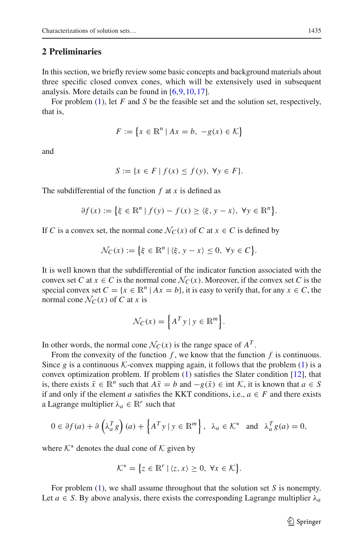## **2 Preliminaries**

In this section, we briefly review some basic concepts and background materials about three specific closed convex cones, which will be extensively used in subsequent analysis. More details can be found in  $[6,9,10,17]$  $[6,9,10,17]$  $[6,9,10,17]$  $[6,9,10,17]$  $[6,9,10,17]$ .

For problem [\(1\)](#page-1-0), let *F* and *S* be the feasible set and the solution set, respectively, that is,

$$
F := \{ x \in \mathbb{R}^n \mid Ax = b, \ -g(x) \in \mathcal{K} \}
$$

and

$$
S := \{ x \in F \mid f(x) \le f(y), \ \forall y \in F \}.
$$

The subdifferential of the function *f* at *x* is defined as

$$
\partial f(x) := \left\{ \xi \in \mathbb{R}^n \mid f(y) - f(x) \ge \langle \xi, y - x \rangle, \ \forall y \in \mathbb{R}^n \right\}.
$$

If *C* is a convex set, the normal cone  $\mathcal{N}_C(x)$  of *C* at  $x \in C$  is defined by

$$
\mathcal{N}_C(x) := \left\{ \xi \in \mathbb{R}^n \mid \langle \xi, y - x \rangle \le 0, \ \forall y \in C \right\}.
$$

It is well known that the subdifferential of the indicator function associated with the convex set *C* at  $x \in C$  is the normal cone  $\mathcal{N}_C(x)$ . Moreover, if the convex set *C* is the special convex set  $C = \{x \in \mathbb{R}^n \mid Ax = b\}$ , it is easy to verify that, for any  $x \in C$ , the normal cone  $\mathcal{N}_C(x)$  of C at *x* is

$$
\mathcal{N}_C(x) = \left\{ A^T y \mid y \in \mathbb{R}^m \right\}.
$$

In other words, the normal cone  $\mathcal{N}_C(x)$  is the range space of  $A^T$ .

From the convexity of the function *f* , we know that the function *f* is continuous. Since *g* is a continuous *K*-convex mapping again, it follows that the problem [\(1\)](#page-1-0) is a convex optimization problem. If problem [\(1\)](#page-1-0) satisfies the Slater condition [\[12](#page-12-7)], that is, there exists  $\bar{x} \in \mathbb{R}^n$  such that  $A\bar{x} = b$  and  $-g(\bar{x}) \in \text{int } \mathcal{K}$ , it is known that  $a \in S$ if and only if the element *a* satisfies the KKT conditions, i.e.,  $a \in F$  and there exists a Lagrange multiplier  $\lambda_a \in \mathbb{R}^r$  such that

$$
0 \in \partial f(a) + \partial \left(\lambda_a^T g\right)(a) + \left\{A^T y \mid y \in \mathbb{R}^m\right\}, \ \ \lambda_a \in \mathcal{K}^* \ \ \text{and} \ \ \lambda_a^T g(a) = 0,
$$

where  $K^*$  denotes the dual cone of  $K$  given by

$$
\mathcal{K}^* = \{ z \in \mathbb{R}^r \mid \langle z, x \rangle \geq 0, \ \forall x \in \mathcal{K} \}.
$$

For problem [\(1\)](#page-1-0), we shall assume throughout that the solution set *S* is nonempty. Let  $a \in S$ . By above analysis, there exists the corresponding Lagrange multiplier  $\lambda_a$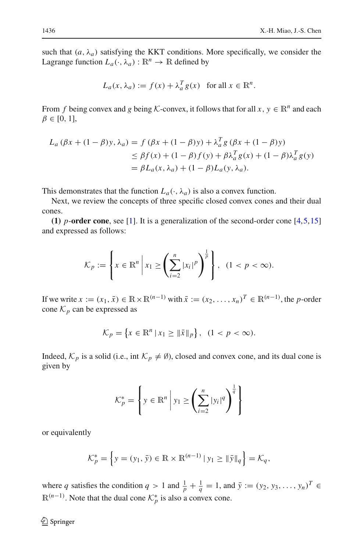such that  $(a, \lambda_a)$  satisfying the KKT conditions. More specifically, we consider the Lagrange function  $L_a(\cdot, \lambda_a): \mathbb{R}^n \to \mathbb{R}$  defined by

$$
L_a(x, \lambda_a) := f(x) + \lambda_a^T g(x) \text{ for all } x \in \mathbb{R}^n.
$$

From *f* being convex and *g* being *K*-convex, it follows that for all  $x, y \in \mathbb{R}^n$  and each  $\beta \in [0, 1]$ ,

$$
L_a (\beta x + (1 - \beta)y, \lambda_a) = f (\beta x + (1 - \beta)y) + \lambda_a^T g (\beta x + (1 - \beta)y)
$$
  
\n
$$
\leq \beta f(x) + (1 - \beta)f(y) + \beta \lambda_a^T g(x) + (1 - \beta)\lambda_a^T g(y)
$$
  
\n
$$
= \beta L_a(x, \lambda_a) + (1 - \beta)L_a(y, \lambda_a).
$$

This demonstrates that the function  $L_a(\cdot, \lambda_a)$  is also a convex function.

Next, we review the concepts of three specific closed convex cones and their dual cones.

**(1)** *p*-**order cone**, see [\[1\]](#page-11-3). It is a generalization of the second-order cone [\[4](#page-11-4),[5,](#page-11-5)[15\]](#page-12-8) and expressed as follows:

$$
\mathcal{K}_p := \left\{ x \in \mathbb{R}^n \, \middle| \, x_1 \ge \left( \sum_{i=2}^n |x_i|^p \right)^{\frac{1}{p}} \right\}, \ \ (1 < p < \infty).
$$

If we write  $x := (x_1, \bar{x}) \in \mathbb{R} \times \mathbb{R}^{(n-1)}$  with  $\bar{x} := (x_2, \dots, x_n)^T \in \mathbb{R}^{(n-1)}$ , the *p*-order cone  $K_p$  can be expressed as

$$
\mathcal{K}_p = \{ x \in \mathbb{R}^n \, | \, x_1 \geq \| \bar{x} \|_p \}, \ \ (1 < p < \infty).
$$

Indeed,  $K_p$  is a solid (i.e., int  $K_p \neq \emptyset$ ), closed and convex cone, and its dual cone is given by

$$
\mathcal{K}_p^* = \left\{ y \in \mathbb{R}^n \middle| y_1 \ge \left( \sum_{i=2}^n |y_i|^q \right)^{\frac{1}{q}} \right\}
$$

or equivalently

$$
\mathcal{K}_p^* = \left\{ y = (y_1, \bar{y}) \in \mathbb{R} \times \mathbb{R}^{(n-1)} \, | \, y_1 \ge ||\bar{y}||_q \right\} = \mathcal{K}_q,
$$

where *q* satisfies the condition  $q > 1$  and  $\frac{1}{p} + \frac{1}{q} = 1$ , and  $\bar{y} := (y_2, y_3, \dots, y_n)^T \in$  $\mathbb{R}^{(n-1)}$ . Note that the dual cone  $\mathcal{K}_p^*$  is also a convex cone.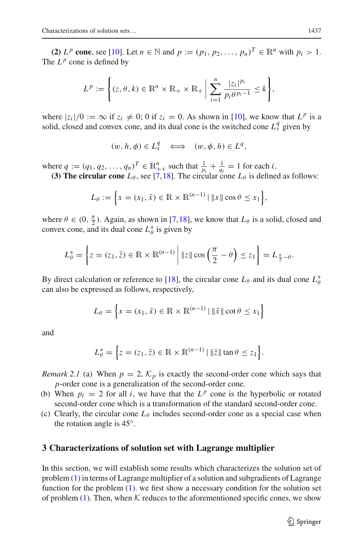**(2)**  $L^p$  **cone**, see [\[10](#page-12-5)]. Let  $n \in \mathbb{N}$  and  $p := (p_1, p_2, ..., p_n)^T \in \mathbb{R}^n$  with  $p_i > 1$ . The  $L^p$  cone is defined by

$$
L^{p} := \left\{ (z, \theta, k) \in \mathbb{R}^{n} \times \mathbb{R}_{+} \times \mathbb{R}_{+} \middle| \sum_{i=1}^{n} \frac{|z_{i}|^{p_{i}}}{p_{i} \theta^{p_{i}-1}} \leq k \right\},\
$$

where  $|z_i|/0 := \infty$  if  $z_i \neq 0$ ; 0 if  $z_i = 0$ . As shown in [\[10](#page-12-5)], we know that  $L^p$  is a solid, closed and convex cone, and its dual cone is the switched cone  $L_s^q$  given by

$$
(w, h, \phi) \in L_s^q \iff (w, \phi, h) \in L^q,
$$

where  $q := (q_1, q_2, \dots, q_n)^T \in \mathbb{R}_{++}^n$  such that  $\frac{1}{p_i} + \frac{1}{q_i} = 1$  for each *i*. **(3) The circular cone**  $L_{\theta}$ , see [\[7](#page-11-6)[,18](#page-12-9)]. The circular cone  $L_{\theta}$  is defined as follows:

$$
L_{\theta} := \left\{ x = (x_1, \bar{x}) \in \mathbb{R} \times \mathbb{R}^{(n-1)} \mid ||x|| \cos \theta \le x_1 \right\},\
$$

where  $\theta \in (0, \frac{\pi}{2})$ . Again, as shown in [\[7](#page-11-6)[,18](#page-12-9)], we know that  $L_{\theta}$  is a solid, closed and convex cone, and its dual cone  $L^*_{\theta}$  is given by

$$
L_{\theta}^* = \left\{ z = (z_1, \bar{z}) \in \mathbb{R} \times \mathbb{R}^{(n-1)} \middle| \|z\| \cos\left(\frac{\pi}{2} - \theta\right) \le z_1 \right\} = L_{\frac{\pi}{2} - \theta}.
$$

By direct calculation or reference to [\[18](#page-12-9)], the circular cone  $L_{\theta}$  and its dual cone  $L_{\theta}^*$ can also be expressed as follows, respectively,

$$
L_{\theta} = \left\{ x = (x_1, \bar{x}) \in \mathbb{R} \times \mathbb{R}^{(n-1)} \mid \|\bar{x}\| \cot \theta \le x_1 \right\}
$$

and

$$
L_{\theta}^* = \left\{ z = (z_1, \bar{z}) \in \mathbb{R} \times \mathbb{R}^{(n-1)} \mid \|\bar{z}\| \tan \theta \le z_1 \right\}.
$$

*Remark 2.1* (a) When  $p = 2$ ,  $K_p$  is exactly the second-order cone which says that *p*-order cone is a generalization of the second-order cone.

- (b) When  $p_i = 2$  for all *i*, we have that the  $L^p$  cone is the hyperbolic or rotated second-order cone which is a transformation of the standard second-order cone.
- (c) Clearly, the circular cone  $L_{\theta}$  includes second-order cone as a special case when the rotation angle is 45◦.

#### **3 Characterizations of solution set with Lagrange multiplier**

In this section, we will establish some results which characterizes the solution set of problem [\(1\)](#page-1-0) in terms of Lagrange multiplier of a solution and subgradients of Lagrange function for the problem  $(1)$ . we first show a necessary condition for the solution set of problem  $(1)$ . Then, when  $K$  reduces to the aforementioned specific cones, we show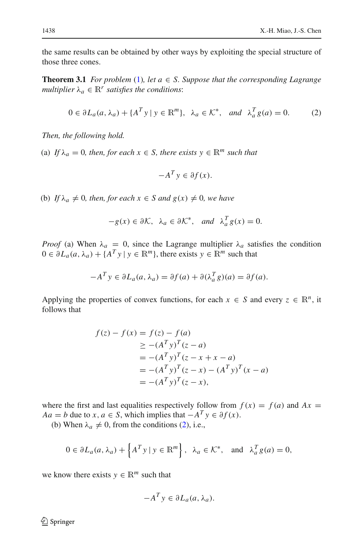<span id="page-5-1"></span>the same results can be obtained by other ways by exploiting the special structure of those three cones.

**Theorem 3.1** *For problem* [\(1\)](#page-1-0)*, let*  $a \in S$ *. Suppose that the corresponding Lagrange multiplier*  $\lambda_a \in \mathbb{R}^r$  *satisfies the conditions:* 

$$
0 \in \partial L_a(a, \lambda_a) + \{A^T y \mid y \in \mathbb{R}^m\}, \ \lambda_a \in \mathcal{K}^*, \ \text{and} \ \lambda_a^T g(a) = 0. \tag{2}
$$

<span id="page-5-0"></span>*Then, the following hold.*

(a) *If*  $\lambda_a = 0$ *, then, for each*  $x \in S$ *, there exists*  $y \in \mathbb{R}^m$  *such that* 

$$
-A^T y \in \partial f(x).
$$

(b) *If*  $\lambda_a \neq 0$ *, then, for each*  $x \in S$  *and*  $g(x) \neq 0$ *, we have* 

$$
-g(x) \in \partial \mathcal{K}, \ \lambda_a \in \partial \mathcal{K}^*, \ \text{and} \ \lambda_a^T g(x) = 0.
$$

*Proof* (a) When  $\lambda_a = 0$ , since the Lagrange multiplier  $\lambda_a$  satisfies the condition  $0 \in \partial L_a(a, \lambda_a) + \{A^T y \mid y \in \mathbb{R}^m\}$ , there exists  $y \in \mathbb{R}^m$  such that

$$
-A^T y \in \partial L_a(a, \lambda_a) = \partial f(a) + \partial (\lambda_a^T g)(a) = \partial f(a).
$$

Applying the properties of convex functions, for each  $x \in S$  and every  $z \in \mathbb{R}^n$ , it follows that

$$
f(z) - f(x) = f(z) - f(a)
$$
  
\n
$$
\ge -(A^T y)^T (z - a)
$$
  
\n
$$
= -(A^T y)^T (z - x + x - a)
$$
  
\n
$$
= -(A^T y)^T (z - x) - (A^T y)^T (x - a)
$$
  
\n
$$
= -(A^T y)^T (z - x),
$$

where the first and last equalities respectively follow from  $f(x) = f(a)$  and  $Ax =$ *Aa* = *b* due to *x*, *a* ∈ *S*, which implies that  $-A^T y \in \partial f(x)$ .

(b) When  $\lambda_a \neq 0$ , from the conditions [\(2\)](#page-5-0), i.e.,

$$
0 \in \partial L_a(a, \lambda_a) + \left\{ A^T y \mid y \in \mathbb{R}^m \right\}, \ \lambda_a \in \mathcal{K}^*, \text{ and } \lambda_a^T g(a) = 0,
$$

we know there exists  $y \in \mathbb{R}^m$  such that

$$
-A^T y \in \partial L_a(a, \lambda_a).
$$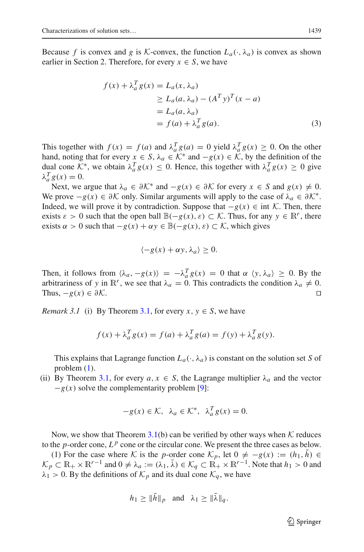Because *f* is convex and *g* is *K*-convex, the function  $L_a(\cdot, \lambda_a)$  is convex as shown earlier in Section 2. Therefore, for every  $x \in S$ , we have

$$
f(x) + \lambda_a^T g(x) = L_a(x, \lambda_a)
$$
  
\n
$$
\ge L_a(a, \lambda_a) - (A^T y)^T (x - a)
$$
  
\n
$$
= L_a(a, \lambda_a)
$$
  
\n
$$
= f(a) + \lambda_a^T g(a).
$$
 (3)

This together with  $f(x) = f(a)$  and  $\lambda_a^T g(a) = 0$  yield  $\lambda_a^T g(x) \ge 0$ . On the other hand, noting that for every  $x \in S$ ,  $\lambda_a \in K^*$  and  $-g(x) \in K$ , by the definition of the dual cone  $K^*$ , we obtain  $\lambda_a^T g(x) \leq 0$ . Hence, this together with  $\lambda_a^T g(x) \geq 0$  give  $λ_a^T g(x) = 0.$ 

Next, we argue that  $\lambda_a \in \partial \mathcal{K}^*$  and  $-g(x) \in \partial \mathcal{K}$  for every  $x \in S$  and  $g(x) \neq 0$ . We prove  $-g(x) \in \partial K$  only. Similar arguments will apply to the case of  $\lambda_a \in \partial K^*$ . Indeed, we will prove it by contradiction. Suppose that  $-g(x) \in \text{int } \mathcal{K}$ . Then, there exists  $\varepsilon > 0$  such that the open ball  $\mathbb{B}(-g(x), \varepsilon) \subset \mathcal{K}$ . Thus, for any  $y \in \mathbb{R}^r$ , there exists  $\alpha > 0$  such that  $-g(x) + \alpha y \in \mathbb{B}(-g(x), \varepsilon) \subset \mathcal{K}$ , which gives

$$
\langle -g(x) + \alpha y, \lambda_a \rangle \ge 0.
$$

Then, it follows from  $\langle \lambda_a, -g(x) \rangle = -\lambda_a^T g(x) = 0$  that  $\alpha \langle y, \lambda_a \rangle \ge 0$ . By the arbitrariness of *y* in  $\mathbb{R}^r$ , we see that  $\lambda_a = 0$ . This contradicts the condition  $\lambda_a \neq 0$ .<br>Thus  $-a(x) \in \partial \mathcal{K}$ Thus,  $-g(x) \in \partial \mathcal{K}$ .

*Remark 3.1* (i) By Theorem [3.1,](#page-5-1) for every  $x, y \in S$ , we have

$$
f(x) + \lambda_a^T g(x) = f(a) + \lambda_a^T g(a) = f(y) + \lambda_a^T g(y).
$$

This explains that Lagrange function  $L_a(\cdot, \lambda_a)$  is constant on the solution set *S* of problem [\(1\)](#page-1-0).

(ii) By Theorem [3.1,](#page-5-1) for every  $a, x \in S$ , the Lagrange multiplier  $\lambda_a$  and the vector  $-g(x)$  solve the complementarity problem [\[9\]](#page-12-4):

$$
-g(x) \in \mathcal{K}, \ \lambda_a \in \mathcal{K}^*, \ \lambda_a^T g(x) = 0.
$$

Now, we show that Theorem  $3.1(b)$  $3.1(b)$  can be verified by other ways when  $K$  reduces to the *p*-order cone,  $L^p$  cone or the circular cone. We present the three cases as below.

(1) For the case where K is the *p*-order cone  $\mathcal{K}_p$ , let  $0 \neq -g(x) := (h_1, \bar{h}) \in$  $\mathcal{K}_p \subset \mathbb{R}_+ \times \mathbb{R}^{r-1}$  and  $0 \neq \lambda_q := (\lambda_1, \bar{\lambda}) \in \mathcal{K}_q \subset \mathbb{R}_+ \times \mathbb{R}^{r-1}$ . Note that  $h_1 > 0$  and  $\lambda_1 > 0$ . By the definitions of  $\mathcal{K}_p$  and its dual cone  $\mathcal{K}_q$ , we have

$$
h_1 \geq \|\bar{h}\|_p
$$
 and  $\lambda_1 \geq \|\bar{\lambda}\|_q$ .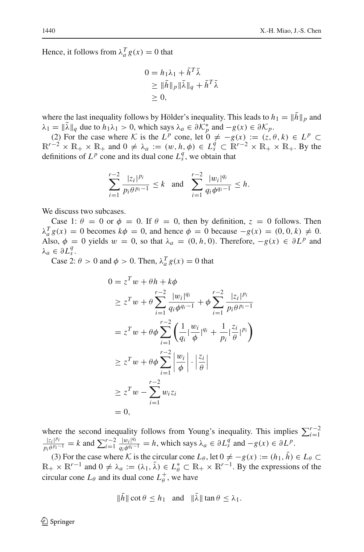Hence, it follows from  $\lambda_a^T g(x) = 0$  that

$$
0 = h_1 \lambda_1 + \bar{h}^T \bar{\lambda}
$$
  
\n
$$
\geq \|\bar{h}\|_p \|\bar{\lambda}\|_q + \bar{h}^T \bar{\lambda}
$$
  
\n
$$
\geq 0,
$$

where the last inequality follows by Hölder's inequality. This leads to  $h_1 = ||\bar{h}||_p$  and  $\lambda_1 = ||\lambda||_q$  due to  $h_1\lambda_1 > 0$ , which says  $\lambda_a \in \partial \mathcal{K}_p^*$  and  $-g(x) \in \partial \mathcal{K}_p$ .

(2) For the case where *K* is the  $L^p$  cone, let  $0 \neq -g(x) := (z, \theta, k) \in L^p \subset$  $\mathbb{R}^{r-2} \times \mathbb{R}_+ \times \mathbb{R}_+$  and  $0 \neq \lambda_a := (w, h, \phi) \in L_s^q \subset \mathbb{R}^{r-2} \times \mathbb{R}_+ \times \mathbb{R}_+$ . By the definitions of  $L^p$  cone and its dual cone  $L_s^q$ , we obtain that

$$
\sum_{i=1}^{r-2} \frac{|z_i|^{p_i}}{p_i \theta^{p_i-1}} \le k \text{ and } \sum_{i=1}^{r-2} \frac{|w_i|^{q_i}}{q_i \phi^{q_i-1}} \le h.
$$

We discuss two subcases.

Case 1:  $\theta = 0$  or  $\phi = 0$ . If  $\theta = 0$ , then by definition,  $z = 0$  follows. Then  $\lambda_a^T g(x) = 0$  becomes  $k\phi = 0$ , and hence  $\phi = 0$  because  $-g(x) = (0, 0, k) \neq 0$ . Also,  $\phi = 0$  yields  $w = 0$ , so that  $\lambda_a = (0, h, 0)$ . Therefore,  $-g(x) \in \partial L^p$  and  $\lambda_a \in \partial L_s^q$ .

Case 2:  $\theta > 0$  and  $\phi > 0$ . Then,  $\lambda_a^T g(x) = 0$  that

$$
0 = zT w + \theta h + k\phi
$$
  
\n
$$
\geq zT w + \theta \sum_{i=1}^{r-2} \frac{|w_i|^{q_i}}{q_i \phi^{q_i-1}} + \phi \sum_{i=1}^{r-2} \frac{|z_i|^{p_i}}{p_i \theta^{p_i-1}}
$$
  
\n
$$
= zT w + \theta \phi \sum_{i=1}^{r-2} \left( \frac{1}{q_i} \left| \frac{w_i}{\phi} \right|^{q_i} + \frac{1}{p_i} \left| \frac{z_i}{\theta} \right|^{p_i} \right)
$$
  
\n
$$
\geq zT w + \theta \phi \sum_{i=1}^{r-2} \left| \frac{w_i}{\phi} \right| \cdot \left| \frac{z_i}{\theta} \right|
$$
  
\n
$$
\geq zT w - \sum_{i=1}^{r-2} w_i z_i
$$
  
\n
$$
= 0,
$$

where the second inequality follows from Young's inequality. This implies  $\sum_{i=1}^{r-2}$  $\frac{|z_i|^{p_i}}{p_i \theta^{p_i-1}} = k$  and  $\sum_{i=1}^{r-2} \frac{|w_i|^{q_i}}{q_i \phi^{q_i-1}} = h$ , which says  $\lambda_a \in \partial L_s^q$  and  $-g(x) \in \partial L^p$ .

(3) For the case where K is the circular cone  $L_{\theta}$ , let  $0 \neq -g(x) := (h_1, \bar{h}) \in L_{\theta} \subset$  $\mathbb{R}_+ \times \mathbb{R}^{r-1}$  and  $0 \neq \lambda_a := (\lambda_1, \bar{\lambda}) \in L^*_{\theta} \subset \mathbb{R}_+ \times \mathbb{R}^{r-1}$ . By the expressions of the circular cone  $L_{\theta}$  and its dual cone  $L_{\theta}^{+}$ , we have

$$
\|\bar{h}\| \cot \theta \le h_1 \quad \text{and} \quad \|\bar{\lambda}\| \tan \theta \le \lambda_1.
$$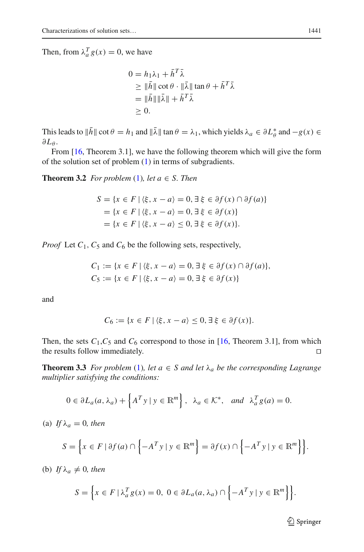Then, from  $\lambda_a^T g(x) = 0$ , we have

$$
0 = h_1 \lambda_1 + \bar{h}^T \bar{\lambda}
$$
  
\n
$$
\geq \|\bar{h}\| \cot \theta \cdot \|\bar{\lambda}\| \tan \theta + \bar{h}^T \bar{\lambda}
$$
  
\n
$$
= \|\bar{h}\| \|\bar{\lambda}\| + \bar{h}^T \bar{\lambda}
$$
  
\n
$$
\geq 0.
$$

This leads to  $||h|| \cot \theta = h_1$  and  $||\lambda|| \tan \theta = \lambda_1$ , which yields  $\lambda_a \in \partial L^*_\theta$  and  $-g(x) \in$ ∂*L*<sup>θ</sup> .

<span id="page-8-1"></span>From [\[16](#page-12-3), Theorem 3.1], we have the following theorem which will give the form of the solution set of problem  $(1)$  in terms of subgradients.

**Theorem 3.2** *For problem* [\(1\)](#page-1-0)*, let*  $a \in S$ *. Then* 

$$
S = \{x \in F \mid \langle \xi, x - a \rangle = 0, \exists \xi \in \partial f(x) \cap \partial f(a) \}
$$
  
= 
$$
\{x \in F \mid \langle \xi, x - a \rangle = 0, \exists \xi \in \partial f(x) \}
$$
  
= 
$$
\{x \in F \mid \langle \xi, x - a \rangle \le 0, \exists \xi \in \partial f(x) \}.
$$

*Proof* Let  $C_1$ ,  $C_5$  and  $C_6$  be the following sets, respectively,

$$
C_1 := \{ x \in F \mid \langle \xi, x - a \rangle = 0, \exists \xi \in \partial f(x) \cap \partial f(a) \},
$$
  
\n
$$
C_5 := \{ x \in F \mid \langle \xi, x - a \rangle = 0, \exists \xi \in \partial f(x) \}
$$

and

$$
C_6 := \{ x \in F \mid \langle \xi, x - a \rangle \le 0, \exists \xi \in \partial f(x) \}.
$$

Then, the sets  $C_1$ ,  $C_5$  and  $C_6$  correspond to those in [\[16,](#page-12-3) Theorem 3.1], from which the results follow immediately.

<span id="page-8-0"></span>**Theorem 3.3** *For problem* [\(1\)](#page-1-0)*, let*  $a \in S$  *and let*  $\lambda_a$  *be the corresponding Lagrange multiplier satisfying the conditions:*

$$
0 \in \partial L_a(a, \lambda_a) + \left\{ A^T y \mid y \in \mathbb{R}^m \right\}, \ \lambda_a \in \mathcal{K}^*, \ \text{and} \ \lambda_a^T g(a) = 0.
$$

(a) *If*  $\lambda_a = 0$ *, then* 

$$
S = \left\{ x \in F \mid \partial f(a) \cap \left\{ -A^T y \mid y \in \mathbb{R}^m \right\} = \partial f(x) \cap \left\{ -A^T y \mid y \in \mathbb{R}^m \right\} \right\}.
$$

(b) *If*  $\lambda_a \neq 0$ *, then* 

$$
S = \left\{ x \in F \mid \lambda_a^T g(x) = 0, \ 0 \in \partial L_a(a, \lambda_a) \cap \left\{ -A^T y \mid y \in \mathbb{R}^m \right\} \right\}.
$$

<sup>2</sup> Springer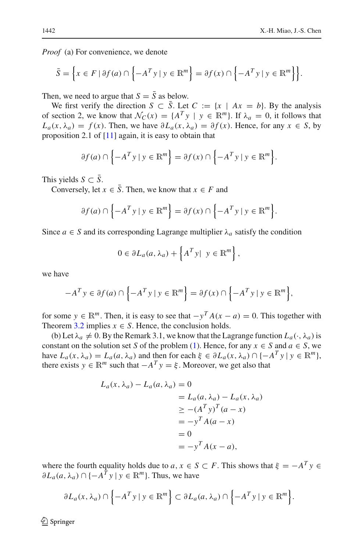*Proof* (a) For convenience, we denote

$$
\bar{S} = \left\{ x \in F \mid \partial f(a) \cap \left\{ -A^T y \mid y \in \mathbb{R}^m \right\} = \partial f(x) \cap \left\{ -A^T y \mid y \in \mathbb{R}^m \right\} \right\}.
$$

Then, we need to argue that  $S = \overline{S}$  as below.

We first verify the direction *S*  $\subset \overline{S}$ . Let *C* := {*x* | *Ax* = *b*}. By the analysis of section 2, we know that  $\mathcal{N}_C(x) = \{A^T y \mid y \in \mathbb{R}^m\}$ . If  $\lambda_a = 0$ , it follows that *L<sub>a</sub>*(*x*,  $\lambda_a$ ) = *f*(*x*). Then, we have  $\partial L_a(x, \lambda_a) = \partial f(x)$ . Hence, for any *x* ∈ *S*, by proposition 2.1 of  $[11]$  again, it is easy to obtain that

$$
\partial f(a) \cap \left\{-A^T y \mid y \in \mathbb{R}^m\right\} = \partial f(x) \cap \left\{-A^T y \mid y \in \mathbb{R}^m\right\}.
$$

This yields  $S \subset \overline{S}$ .

Conversely, let  $x \in \overline{S}$ . Then, we know that  $x \in F$  and

$$
\partial f(a) \cap \left\{-A^T y \mid y \in \mathbb{R}^m\right\} = \partial f(x) \cap \left\{-A^T y \mid y \in \mathbb{R}^m\right\}.
$$

Since  $a \in S$  and its corresponding Lagrange multiplier  $\lambda_a$  satisfy the condition

$$
0 \in \partial L_a(a, \lambda_a) + \left\{ A^T y | y \in \mathbb{R}^m \right\},\
$$

we have

$$
-A^T y \in \partial f(a) \cap \left\{-A^T y \mid y \in \mathbb{R}^m\right\} = \partial f(x) \cap \left\{-A^T y \mid y \in \mathbb{R}^m\right\},\
$$

for some  $y \in \mathbb{R}^m$ . Then, it is easy to see that  $-y^T A(x - a) = 0$ . This together with Theorem [3.2](#page-8-1) implies  $x \in S$ . Hence, the conclusion holds.

(b) Let  $\lambda_a \neq 0$ . By the Remark 3.1, we know that the Lagrange function  $L_a(\cdot, \lambda_a)$  is constant on the solution set *S* of the problem [\(1\)](#page-1-0). Hence, for any  $x \in S$  and  $a \in S$ , we have  $L_a(x, \lambda_a) = L_a(a, \lambda_a)$  and then for each  $\xi \in \partial L_a(x, \lambda_a) \cap \{-A^T y \mid y \in \mathbb{R}^m\}$ , there exists  $y \in \mathbb{R}^m$  such that  $-A^T y = \xi$ . Moreover, we get also that

$$
L_a(x, \lambda_a) - L_a(a, \lambda_a) = 0
$$
  
=  $L_a(a, \lambda_a) - L_a(x, \lambda_a)$   
 $\geq -(A^T y)^T (a - x)$   
=  $-y^T A(a - x)$   
= 0  
=  $-y^T A(x - a)$ ,

where the fourth equality holds due to *a*,  $x \in S \subset F$ . This shows that  $\xi = -A^T y \in$  $\partial L_a(a, \lambda_a) \cap \{-A^T y \mid y \in \mathbb{R}^m\}$ . Thus, we have

$$
\partial L_a(x, \lambda_a) \cap \left\{-A^T y \mid y \in \mathbb{R}^m\right\} \subset \partial L_a(a, \lambda_a) \cap \left\{-A^T y \mid y \in \mathbb{R}^m\right\}.
$$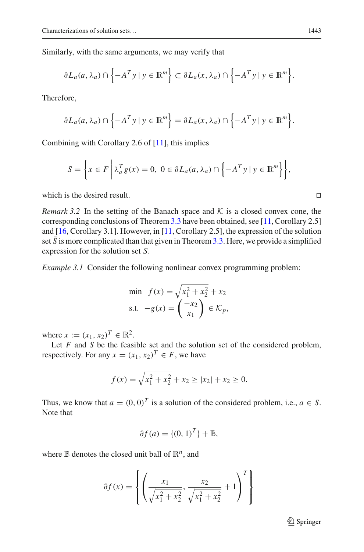Similarly, with the same arguments, we may verify that

$$
\partial L_a(a, \lambda_a) \cap \left\{-A^T y \mid y \in \mathbb{R}^m\right\} \subset \partial L_a(x, \lambda_a) \cap \left\{-A^T y \mid y \in \mathbb{R}^m\right\}.
$$

Therefore,

$$
\partial L_a(a, \lambda_a) \cap \left\{-A^T y \mid y \in \mathbb{R}^m\right\} = \partial L_a(x, \lambda_a) \cap \left\{-A^T y \mid y \in \mathbb{R}^m\right\}.
$$

Combining with Corollary 2.6 of  $[11]$ , this implies

$$
S = \left\{ x \in F \mid \lambda_a^T g(x) = 0, \ 0 \in \partial L_a(a, \lambda_a) \cap \left\{ -A^T y \mid y \in \mathbb{R}^m \right\} \right\},\
$$

which is the desired result.  $\Box$ 

*Remark 3.2* In the setting of the Banach space and  $K$  is a closed convex cone, the corresponding conclusions of Theorem [3.3](#page-8-0) have been obtained, see [\[11,](#page-12-0) Corollary 2.5] and [\[16](#page-12-3), Corollary 3.1]. However, in [\[11](#page-12-0), Corollary 2.5], the expression of the solution set  $\overline{S}$  is more complicated than that given in Theorem [3.3.](#page-8-0) Here, we provide a simplified expression for the solution set *S*.

*Example 3.1* Consider the following nonlinear convex programming problem:

min 
$$
f(x) = \sqrt{x_1^2 + x_2^2} + x_2
$$
  
s.t.  $-g(x) = \begin{pmatrix} -x_2 \\ x_1 \end{pmatrix} \in \mathcal{K}_p$ ,

where  $x := (x_1, x_2)^T \in \mathbb{R}^2$ .

Let *F* and *S* be the feasible set and the solution set of the considered problem, respectively. For any  $x = (x_1, x_2)^T \in F$ , we have

$$
f(x) = \sqrt{x_1^2 + x_2^2} + x_2 \ge |x_2| + x_2 \ge 0.
$$

Thus, we know that  $a = (0, 0)^T$  is a solution of the considered problem, i.e.,  $a \in S$ . Note that

$$
\partial f(a) = \{ (0, 1)^T \} + \mathbb{B},
$$

where  $\mathbb B$  denotes the closed unit ball of  $\mathbb R^n$ , and

$$
\partial f(x) = \left\{ \left( \frac{x_1}{\sqrt{x_1^2 + x_2^2}}, \frac{x_2}{\sqrt{x_1^2 + x_2^2}} + 1 \right)^T \right\}
$$

<sup>2</sup> Springer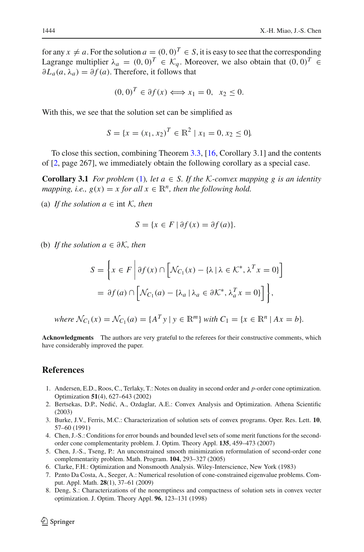for any  $x \neq a$ . For the solution  $a = (0, 0)^T \in S$ , it is easy to see that the corresponding Lagrange multiplier  $\lambda_a = (0, 0)^T \in \mathcal{K}_a$ . Moreover, we also obtain that  $(0, 0)^T \in$  $\partial L_a(a, \lambda_a) = \partial f(a)$ . Therefore, it follows that

$$
(0,0)^T \in \partial f(x) \Longleftrightarrow x_1 = 0, \ \ x_2 \le 0.
$$

With this, we see that the solution set can be simplified as

$$
S = \{x = (x_1, x_2)^T \in \mathbb{R}^2 \mid x_1 = 0, x_2 \le 0\}
$$

To close this section, combining Theorem [3.3,](#page-8-0) [\[16,](#page-12-3) Corollary 3.1] and the contents of [\[2,](#page-11-7) page 267], we immediately obtain the following corollary as a special case.

**Corollary 3.1** *For problem* [\(1\)](#page-1-0)*, let*  $a \in S$ *. If the K-convex mapping g is an identity mapping, i.e.,*  $g(x) = x$  *for all*  $x \in \mathbb{R}^n$ *, then the following hold.* 

(a) *If the solution*  $a \in \text{int } \mathcal{K}$ , then

$$
S = \{ x \in F \mid \partial f(x) = \partial f(a) \}.
$$

(b) *If the solution a* ∈ ∂*K, then*

$$
S = \left\{ x \in F \middle| \partial f(x) \cap \left[ \mathcal{N}_{C_1}(x) - \{ \lambda \mid \lambda \in \mathcal{K}^*, \lambda^T x = 0 \} \right] \right\}
$$
  
=  $\partial f(a) \cap \left[ \mathcal{N}_{C_1}(a) - \{ \lambda_a \mid \lambda_a \in \partial \mathcal{K}^*, \lambda_a^T x = 0 \} \right] \right\},$ 

*where*  $\mathcal{N}_{C_1}(x) = \mathcal{N}_{C_1}(a) = \{A^T y \mid y \in \mathbb{R}^m\}$  *with*  $C_1 = \{x \in \mathbb{R}^n \mid Ax = b\}$ *.* 

**Acknowledgments** The authors are very grateful to the referees for their constructive comments, which have considerably improved the paper.

#### <span id="page-11-3"></span>**References**

- 1. Andersen, E.D., Roos, C., Terlaky, T.: Notes on duality in second order and *p*-order cone optimization. Optimization **51**(4), 627–643 (2002)
- <span id="page-11-7"></span>2. Bertsekas, D.P., Nedić, A., Ozdaglar, A.E.: Convex Analysis and Optimization. Athena Scientific (2003)
- <span id="page-11-0"></span>3. Burke, J.V., Ferris, M.C.: Characterization of solution sets of convex programs. Oper. Res. Lett. **10**, 57–60 (1991)
- <span id="page-11-4"></span>4. Chen, J.-S.: Conditions for error bounds and bounded level sets of some merit functions for the secondorder cone complementarity problem. J. Optim. Theory Appl. **135**, 459–473 (2007)
- <span id="page-11-5"></span>5. Chen, J.-S., Tseng, P.: An unconstrained smooth minimization reformulation of second-order cone complementarity problem. Math. Program. **104**, 293–327 (2005)
- <span id="page-11-2"></span>6. Clarke, F.H.: Optimization and Nonsmooth Analysis. Wiley-Interscience, New York (1983)
- <span id="page-11-6"></span>7. Pznto Da Costa, A., Seeger, A.: Numerical resolution of cone-constrained eigenvalue problems. Comput. Appl. Math. **28**(1), 37–61 (2009)
- <span id="page-11-1"></span>8. Deng, S.: Characterizations of the nonemptiness and compactness of solution sets in convex vecter optimization. J. Optim. Theory Appl. **96**, 123–131 (1998)